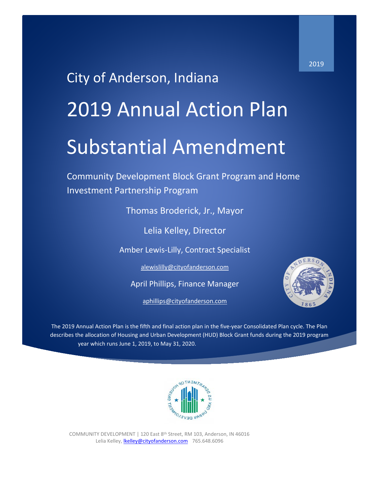# City of Anderson, Indiana 2019 Annual Action Plan Substantial Amendment

Community Development Block Grant Program and Home Investment Partnership Program

Thomas Broderick, Jr., Mayor

Lelia Kelley, Director

Amber Lewis-Lilly, Contract Specialist

[alewislilly@cityofanderson.com](mailto:alewislilly@cityofanderson.com)

April Phillips, Finance Manager

[aphillips@cityofanderson.com](mailto:aphillips@cityofanderson.com)



The 2019 Annual Action Plan is the fifth and final action plan in the five-year Consolidated Plan cycle. The Plan describes the allocation of Housing and Urban Development (HUD) Block Grant funds during the 2019 program year which runs June 1, 2019, to May 31, 2020.



COMMUNITY DEVELOPMENT | 120 East 8th Street, RM 103, Anderson, IN 46016 Lelia Kelley, *lkelley@cityofanderson.com 765.648.6096*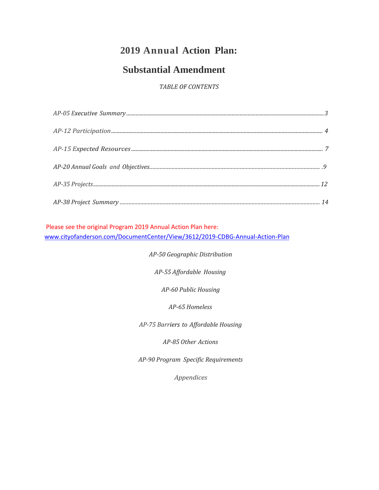# **2019 Annual Action Plan:**

# **Substantial Amendment**

*TABLE OF CONTENTS*

Please see the original Program 2019 Annual Action Plan here: [www.cityofanderson.com/DocumentCenter/View/3612/2](http://www.cityofanderson.com/152/Community-Development)019-CDBG-Annual-Action-Plan

*AP-50 Geographic Distribution*

*AP-55 Affordable Housing*

*AP-60 Public Housing*

*AP-65 Homeless*

*AP-75 Barriers to Affordable Housing*

*AP-85 Other Actions*

*AP-90 Program Specific Requirements*

*Appendices*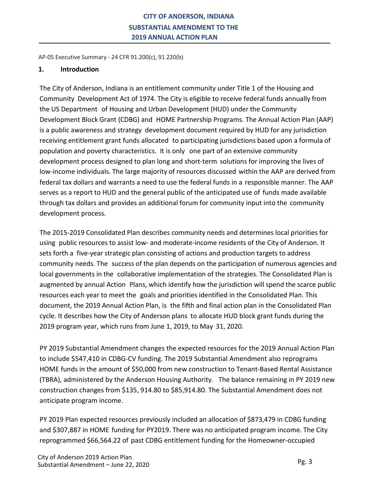AP-05 Executive Summary - 24 CFR 91.200(c), 91.220(b)

#### **1. Introduction**

The City of Anderson, Indiana is an entitlement community under Title 1 of the Housing and Community Development Act of 1974. The City is eligible to receive federal funds annually from the US Department of Housing and Urban Development (HUD) under the Community Development Block Grant (CDBG) and HOME Partnership Programs. The Annual Action Plan (AAP) is a public awareness and strategy development document required by HUD for any jurisdiction receiving entitlement grant funds allocated to participating jurisdictions based upon a formula of population and poverty characteristics. It is only one part of an extensive community development process designed to plan long and short-term solutions for improving the lives of low-income individuals. The large majority of resources discussed within the AAP are derived from federal tax dollars and warrants a need to use the federal funds in a responsible manner. The AAP serves as a report to HUD and the general public of the anticipated use of funds made available through tax dollars and provides an additional forum for community input into the community development process.

The 2015-2019 Consolidated Plan describes community needs and determines local priorities for using public resources to assist low- and moderate-income residents of the City of Anderson. It sets forth a five-year strategic plan consisting of actions and production targets to address community needs. The success of the plan depends on the participation of numerous agencies and local governments in the collaborative implementation of the strategies. The Consolidated Plan is augmented by annual Action Plans, which identify how the jurisdiction will spend the scarce public resources each year to meet the goals and priorities identified in the Consolidated Plan. This document, the 2019 Annual Action Plan, is the fifth and final action plan in the Consolidated Plan cycle. It describes how the City of Anderson plans to allocate HUD block grant funds during the 2019 program year, which runs from June 1, 2019, to May 31, 2020.

PY 2019 Substantial Amendment changes the expected resources for the 2019 Annual Action Plan to include \$547,410 in CDBG-CV funding. The 2019 Substantial Amendment also reprograms HOME funds in the amount of \$50,000 from new construction to Tenant-Based Rental Assistance (TBRA), administered by the Anderson Housing Authority. The balance remaining in PY 2019 new construction changes from \$135, 914.80 to \$85,914.80. The Substantial Amendment does not anticipate program income.

PY 2019 Plan expected resources previously included an allocation of \$873,479 in CDBG funding and \$307,887 in HOME funding for PY2019. There was no anticipated program income. The City reprogrammed \$66,564.22 of past CDBG entitlement funding for the Homeowner-occupied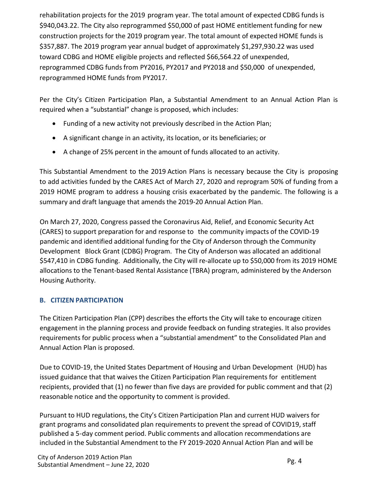rehabilitation projects for the 2019 program year. The total amount of expected CDBG funds is \$940,043.22. The City also reprogrammed \$50,000 of past HOME entitlement funding for new construction projects for the 2019 program year. The total amount of expected HOME funds is \$357,887. The 2019 program year annual budget of approximately \$1,297,930.22 was used toward CDBG and HOME eligible projects and reflected \$66,564.22 of unexpended, reprogrammed CDBG funds from PY2016, PY2017 and PY2018 and \$50,000 of unexpended, reprogrammed HOME funds from PY2017.

Per the City's Citizen Participation Plan, a Substantial Amendment to an Annual Action Plan is required when a "substantial" change is proposed, which includes:

- Funding of a new activity not previously described in the Action Plan;
- A significant change in an activity, its location, or its beneficiaries; or
- A change of 25% percent in the amount of funds allocated to an activity.

This Substantial Amendment to the 2019 Action Plans is necessary because the City is proposing to add activities funded by the CARES Act of March 27, 2020 and reprogram 50% of funding from a 2019 HOME program to address a housing crisis exacerbated by the pandemic. The following is a summary and draft language that amends the 2019-20 Annual Action Plan.

On March 27, 2020, Congress passed the Coronavirus Aid, Relief, and Economic Security Act (CARES) to support preparation for and response to the community impacts of the COVID-19 pandemic and identified additional funding for the City of Anderson through the Community Development Block Grant (CDBG) Program. The City of Anderson was allocated an additional \$547,410 in CDBG funding. Additionally, the City will re-allocate up to \$50,000 from its 2019 HOME allocations to the Tenant-based Rental Assistance (TBRA) program, administered by the Anderson Housing Authority.

## **B. CITIZEN PARTICIPATION**

The Citizen Participation Plan (CPP) describes the efforts the City will take to encourage citizen engagement in the planning process and provide feedback on funding strategies. It also provides requirements for public process when a "substantial amendment" to the Consolidated Plan and Annual Action Plan is proposed.

Due to COVID-19, the United States Department of Housing and Urban Development (HUD) has issued guidance that that waives the Citizen Participation Plan requirements for entitlement recipients, provided that (1) no fewer than five days are provided for public comment and that (2) reasonable notice and the opportunity to comment is provided.

Pursuant to HUD regulations, the City's Citizen Participation Plan and current HUD waivers for grant programs and consolidated plan requirements to prevent the spread of COVID19, staff published a 5-day comment period. Public comments and allocation recommendations are included in the Substantial Amendment to the FY 2019-2020 Annual Action Plan and will be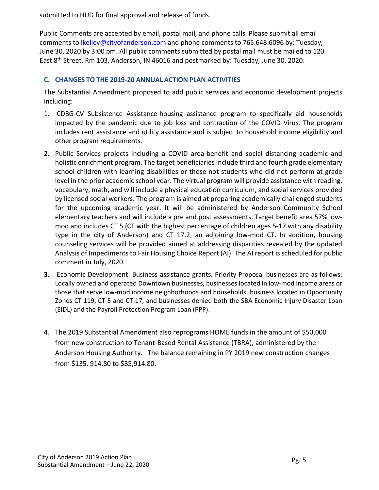submitted to HUD for final approval and release of funds.

Public Comments are accepted by email, postal mail, and phone calls. Please submit all email comments to *lkelley@cityofanderson.com* and phone comments to 765.648.6096 by: Tuesday, June 30, 2020 by 3:00 pm. All public comments submitted by postal mail must be mailed to 120 East 8th Street, Rm 103, Anderson, IN 46016 and postmarked by: Tuesday, June 30, 2020.

## **C. CHANGES TO THE 2019-20 ANNUAL ACTION PLAN ACTIVITIES**

The Substantial Amendment proposed to add public services and economic development projects including:

- 1. CDBG-CV Subsistence Assistance-housing assistance program to specifically aid households impacted by the pandemic due to job loss and contraction of the COVID Virus. The program includes rent assistance and utility assistance and is subject to household income eligibility and other program requirements.
- 2. Public Services projects including a COVID area-benefit and social distancing academic and holistic enrichment program. The target beneficiaries include third and fourth grade elementary school children with learning disabilities or those not students who did not perform at grade level in the prior academic school year. The virtual program will provide assistance with reading, vocabulary, math, and will include a physical education curriculum, and social services provided by licensed social workers. The program is aimed at preparing academically challenged students for the upcoming academic year. It will be administered by Anderson Community School elementary teachers and will include a pre and post assessments. Target benefit area 57% lowmod and includes CT 5 (CT with the highest percentage of children ages 5-17 with any disability type in the city of Anderson) and CT 17.2, an adjoining low-mod CT. In addition, housing counseling services will be provided aimed at addressing disparities revealed by the updated Analysis of Impediments to Fair Housing Choice Report (AI). The AI report is scheduled for public comment in July, 2020.
- **3.** Economic Development: Business assistance grants. Priority Proposal businesses are as follows: Locally owned and operated Downtown businesses, businesses located in low-mod income areas or those that serve low-mod income neighborhoods and households, business located in Opportunity Zones CT 119, CT 5 and CT 17, and businesses denied both the SBA Economic Injury Disaster Loan (EIDL) and the Payroll Protection Program Loan (PPP).
- 4. The 2019 Substantial Amendment also reprograms HOME funds in the amount of \$50,000 from new construction to Tenant-Based Rental Assistance (TBRA), administered by the Anderson Housing Authority. The balance remaining in PY 2019 new construction changes from \$135, 914.80 to \$85,914.80.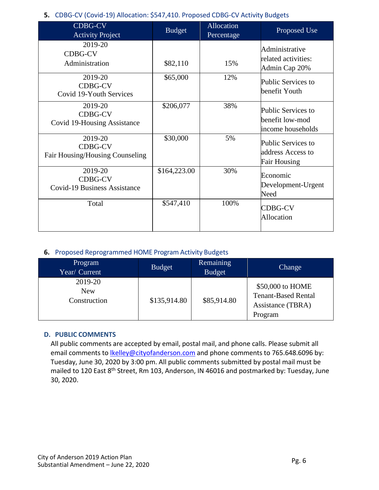## **5.** CDBG-CV (Covid-19) Allocation: \$547,410. Proposed CDBG-CV Activity Budgets

| <b>CDBG-CV</b><br><b>Activity Project</b> | <b>Budget</b> | <b>Allocation</b><br>Percentage | Proposed Use        |
|-------------------------------------------|---------------|---------------------------------|---------------------|
| 2019-20                                   |               |                                 |                     |
|                                           |               |                                 | Administrative      |
| <b>CDBG-CV</b>                            |               |                                 | related activities: |
| Administration                            | \$82,110      | 15%                             | Admin Cap 20%       |
| 2019-20                                   | \$65,000      | 12%                             |                     |
| <b>CDBG-CV</b>                            |               |                                 | Public Services to  |
|                                           |               |                                 | benefit Youth       |
| Covid 19-Youth Services                   |               |                                 |                     |
| 2019-20                                   | \$206,077     | 38%                             | Public Services to  |
| <b>CDBG-CV</b>                            |               |                                 |                     |
| Covid 19-Housing Assistance               |               |                                 | benefit low-mod     |
|                                           |               |                                 | income households   |
| 2019-20                                   | \$30,000      | 5%                              | Public Services to  |
| <b>CDBG-CV</b>                            |               |                                 |                     |
| Fair Housing/Housing Counseling           |               |                                 | address Access to   |
|                                           |               |                                 | <b>Fair Housing</b> |
| 2019-20                                   | \$164,223.00  | 30%                             | Economic            |
| <b>CDBG-CV</b>                            |               |                                 |                     |
| <b>Covid-19 Business Assistance</b>       |               |                                 | Development-Urgent  |
|                                           |               |                                 | Need                |
| Total                                     | \$547,410     | 100%                            | <b>CDBG-CV</b>      |
|                                           |               |                                 |                     |
|                                           |               |                                 | <b>Allocation</b>   |
|                                           |               |                                 |                     |

#### **6.** Proposed Reprogrammed HOME Program Activity Budgets

| Program<br>Year/ Current              | <b>Budget</b> | <b>Remaining</b><br><b>Budget</b> | Change                                                                         |
|---------------------------------------|---------------|-----------------------------------|--------------------------------------------------------------------------------|
| 2019-20<br><b>New</b><br>Construction | \$135,914.80  | \$85,914.80                       | \$50,000 to HOME<br><b>Tenant-Based Rental</b><br>Assistance (TBRA)<br>Program |

#### **D. PUBLIC COMMENTS**

All public comments are accepted by email, postal mail, and phone calls. Please submit all email comments to *lkelley@cityofanderson.com* and phone comments to 765.648.6096 by: Tuesday, June 30, 2020 by 3:00 pm. All public comments submitted by postal mail must be mailed to 120 East 8<sup>th</sup> Street, Rm 103, Anderson, IN 46016 and postmarked by: Tuesday, June 30, 2020.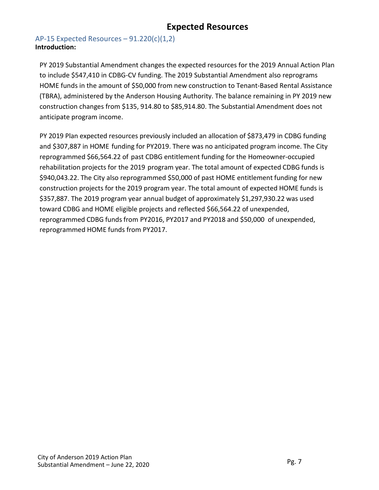# **Expected Resources**

## AP-15 Expected Resources  $-91.220(c)(1,2)$ **Introduction:**

PY 2019 Substantial Amendment changes the expected resources for the 2019 Annual Action Plan to include \$547,410 in CDBG-CV funding. The 2019 Substantial Amendment also reprograms HOME funds in the amount of \$50,000 from new construction to Tenant-Based Rental Assistance (TBRA), administered by the Anderson Housing Authority. The balance remaining in PY 2019 new construction changes from \$135, 914.80 to \$85,914.80. The Substantial Amendment does not anticipate program income.

PY 2019 Plan expected resources previously included an allocation of \$873,479 in CDBG funding and \$307,887 in HOME funding for PY2019. There was no anticipated program income. The City reprogrammed \$66,564.22 of past CDBG entitlement funding for the Homeowner-occupied rehabilitation projects for the 2019 program year. The total amount of expected CDBG funds is \$940,043.22. The City also reprogrammed \$50,000 of past HOME entitlement funding for new construction projects for the 2019 program year. The total amount of expected HOME funds is \$357,887. The 2019 program year annual budget of approximately \$1,297,930.22 was used toward CDBG and HOME eligible projects and reflected \$66,564.22 of unexpended, reprogrammed CDBG funds from PY2016, PY2017 and PY2018 and \$50,000 of unexpended, reprogrammed HOME funds from PY2017.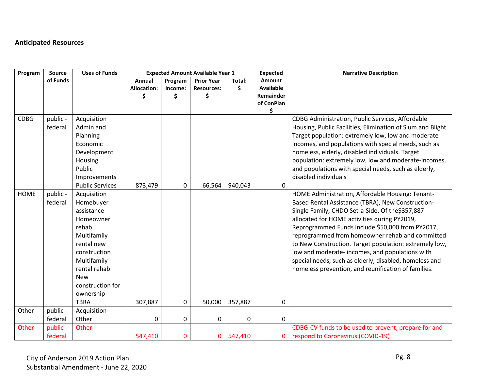# **Anticipated Resources**

| Program     | Source              | <b>Uses of Funds</b>                                                                                                                                                                                   |                    |             | <b>Expected Amount Available Year 1</b> |         | <b>Expected</b>  | <b>Narrative Description</b>                                                                                                                                                                                                                                                                                                                                                                                                                                                                                                                 |
|-------------|---------------------|--------------------------------------------------------------------------------------------------------------------------------------------------------------------------------------------------------|--------------------|-------------|-----------------------------------------|---------|------------------|----------------------------------------------------------------------------------------------------------------------------------------------------------------------------------------------------------------------------------------------------------------------------------------------------------------------------------------------------------------------------------------------------------------------------------------------------------------------------------------------------------------------------------------------|
|             | of Funds            |                                                                                                                                                                                                        | Annual             | Program     | <b>Prior Year</b>                       | Total:  | Amount           |                                                                                                                                                                                                                                                                                                                                                                                                                                                                                                                                              |
|             |                     |                                                                                                                                                                                                        | <b>Allocation:</b> | Income:     | <b>Resources:</b>                       | \$      | <b>Available</b> |                                                                                                                                                                                                                                                                                                                                                                                                                                                                                                                                              |
|             |                     |                                                                                                                                                                                                        | Ś                  | Ŝ           | Ś                                       |         | Remainder        |                                                                                                                                                                                                                                                                                                                                                                                                                                                                                                                                              |
|             |                     |                                                                                                                                                                                                        |                    |             |                                         |         | of ConPlan<br>\$ |                                                                                                                                                                                                                                                                                                                                                                                                                                                                                                                                              |
| <b>CDBG</b> | public -<br>federal | Acquisition<br>Admin and<br>Planning<br>Economic<br>Development<br>Housing<br>Public<br>Improvements                                                                                                   |                    |             |                                         |         |                  | CDBG Administration, Public Services, Affordable<br>Housing, Public Facilities, Elimination of Slum and Blight.<br>Target population: extremely low, low and moderate<br>incomes, and populations with special needs, such as<br>homeless, elderly, disabled individuals. Target<br>population: extremely low, low and moderate-incomes,<br>and populations with special needs, such as elderly,<br>disabled individuals                                                                                                                     |
|             |                     | <b>Public Services</b>                                                                                                                                                                                 | 873,479            | 0           | 66,564                                  | 940,043 | 0                |                                                                                                                                                                                                                                                                                                                                                                                                                                                                                                                                              |
| <b>HOME</b> | public -<br>federal | Acquisition<br>Homebuyer<br>assistance<br>Homeowner<br>rehab<br>Multifamily<br>rental new<br>construction<br>Multifamily<br>rental rehab<br><b>New</b><br>construction for<br>ownership<br><b>TBRA</b> | 307,887            | 0           | 50,000                                  | 357,887 | 0                | HOME Administration, Affordable Housing: Tenant-<br>Based Rental Assistance (TBRA), New Construction-<br>Single Family; CHDO Set-a-Side. Of the\$357,887<br>allocated for HOME activities during PY2019,<br>Reprogrammed Funds include \$50,000 from PY2017,<br>reprogrammed from homeowner rehab and committed<br>to New Construction. Target population: extremely low,<br>low and moderate-incomes, and populations with<br>special needs, such as elderly, disabled, homeless and<br>homeless prevention, and reunification of families. |
| Other       | public -            | Acquisition                                                                                                                                                                                            |                    |             |                                         |         |                  |                                                                                                                                                                                                                                                                                                                                                                                                                                                                                                                                              |
|             | federal             | Other                                                                                                                                                                                                  | 0                  | $\mathbf 0$ | 0                                       | 0       | 0                |                                                                                                                                                                                                                                                                                                                                                                                                                                                                                                                                              |
| Other       | public -<br>federal | Other                                                                                                                                                                                                  | 547,410            | 0           | 0                                       | 547,410 | 0                | CDBG-CV funds to be used to prevent, prepare for and<br>respond to Coronavirus (COVID-19)                                                                                                                                                                                                                                                                                                                                                                                                                                                    |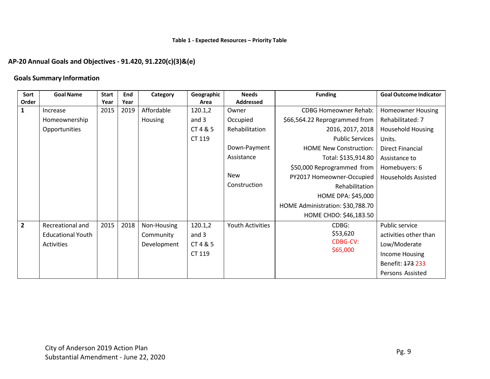## **AP-20 Annual Goals and Objectives - 91.420, 91.220(c)(3)&(e)**

#### **Goals Summary Information**

| Sort         | <b>Goal Name</b>         | <b>Start</b> | End  | Category       | Geographic | <b>Needs</b>            | <b>Funding</b>                   | <b>Goal Outcome Indicator</b> |
|--------------|--------------------------|--------------|------|----------------|------------|-------------------------|----------------------------------|-------------------------------|
| Order        |                          | Year         | Year |                | Area       | <b>Addressed</b>        |                                  |                               |
| 1            | Increase                 | 2015         | 2019 | Affordable     | 120.1,2    | Owner                   | <b>CDBG Homeowner Rehab:</b>     | <b>Homeowner Housing</b>      |
|              | Homeownership            |              |      | <b>Housing</b> | and 3      | Occupied                | \$66,564.22 Reprogrammed from    | Rehabilitated: 7              |
|              | Opportunities            |              |      |                | CT 4 & 5   | Rehabilitation          | 2016, 2017, 2018                 | <b>Household Housing</b>      |
|              |                          |              |      |                | CT 119     |                         | <b>Public Services</b>           | Units.                        |
|              |                          |              |      |                |            | Down-Payment            | <b>HOME New Construction:</b>    | Direct Financial              |
|              |                          |              |      |                |            | Assistance              | Total: \$135,914.80              | Assistance to                 |
|              |                          |              |      |                |            |                         | \$50,000 Reprogrammed from       | Homebuyers: 6                 |
|              |                          |              |      |                |            | <b>New</b>              | PY2017 Homeowner-Occupied        | <b>Households Assisted</b>    |
|              |                          |              |      |                |            | Construction            | Rehabilitation                   |                               |
|              |                          |              |      |                |            |                         | <b>HOME DPA: \$45,000</b>        |                               |
|              |                          |              |      |                |            |                         | HOME Administration: \$30,788.70 |                               |
|              |                          |              |      |                |            |                         | HOME CHDO: \$46,183.50           |                               |
| $\mathbf{2}$ | Recreational and         | 2015         | 2018 | Non-Housing    | 120.1,2    | <b>Youth Activities</b> | CDBG:                            | Public service                |
|              | <b>Educational Youth</b> |              |      | Community      | and 3      |                         | \$53,620                         | activities other than         |
|              | Activities               |              |      | Development    | CT 4 & 5   |                         | <b>CDBG-CV:</b>                  | Low/Moderate                  |
|              |                          |              |      |                | CT 119     |                         | \$65,000                         | Income Housing                |
|              |                          |              |      |                |            |                         |                                  | Benefit: 173 233              |
|              |                          |              |      |                |            |                         |                                  | Persons Assisted              |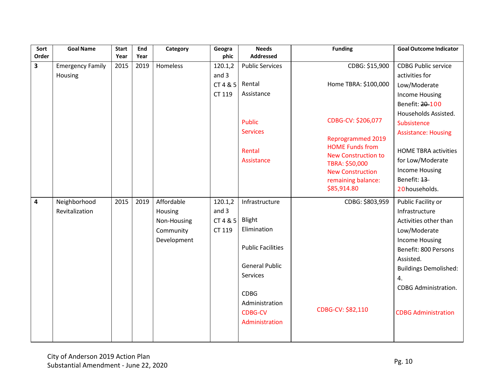| Sort                    | <b>Goal Name</b>        | <b>Start</b> | End  | Category    | Geogra  | <b>Needs</b>             | <b>Funding</b>                                     | <b>Goal Outcome Indicator</b> |
|-------------------------|-------------------------|--------------|------|-------------|---------|--------------------------|----------------------------------------------------|-------------------------------|
| Order                   |                         | Year         | Year |             | phic    | <b>Addressed</b>         |                                                    |                               |
| $\overline{\mathbf{3}}$ | <b>Emergency Family</b> | 2015         | 2019 | Homeless    | 120.1,2 | <b>Public Services</b>   | CDBG: \$15,900                                     | <b>CDBG Public service</b>    |
|                         | Housing                 |              |      |             | and 3   |                          |                                                    | activities for                |
|                         |                         |              |      |             | CT485   | Rental                   | Home TBRA: \$100,000                               | Low/Moderate                  |
|                         |                         |              |      |             | CT 119  | Assistance               |                                                    | <b>Income Housing</b>         |
|                         |                         |              |      |             |         |                          |                                                    | Benefit: 20-100               |
|                         |                         |              |      |             |         |                          |                                                    | Households Assisted.          |
|                         |                         |              |      |             |         | <b>Public</b>            | CDBG-CV: \$206,077                                 | Subsistence                   |
|                         |                         |              |      |             |         | <b>Services</b>          |                                                    | <b>Assistance: Housing</b>    |
|                         |                         |              |      |             |         |                          | <b>Reprogrammed 2019</b><br><b>HOME Funds from</b> |                               |
|                         |                         |              |      |             |         | Rental                   | <b>New Construction to</b>                         | <b>HOME TBRA activities</b>   |
|                         |                         |              |      |             |         | Assistance               | TBRA: \$50,000                                     | for Low/Moderate              |
|                         |                         |              |      |             |         |                          | <b>New Construction</b>                            | <b>Income Housing</b>         |
|                         |                         |              |      |             |         |                          | remaining balance:                                 | Benefit: 13                   |
|                         |                         |              |      |             |         |                          | \$85,914.80                                        | 20households.                 |
| 4                       | Neighborhood            | 2015         | 2019 | Affordable  | 120.1,2 | Infrastructure           | CDBG: \$803,959                                    | Public Facility or            |
|                         | Revitalization          |              |      | Housing     | and 3   |                          |                                                    | Infrastructure                |
|                         |                         |              |      | Non-Housing | CT485   | Blight                   |                                                    | Activities other than         |
|                         |                         |              |      | Community   | CT 119  | Elimination              |                                                    | Low/Moderate                  |
|                         |                         |              |      | Development |         |                          |                                                    | <b>Income Housing</b>         |
|                         |                         |              |      |             |         | <b>Public Facilities</b> |                                                    | Benefit: 800 Persons          |
|                         |                         |              |      |             |         |                          |                                                    | Assisted.                     |
|                         |                         |              |      |             |         | <b>General Public</b>    |                                                    | <b>Buildings Demolished:</b>  |
|                         |                         |              |      |             |         | Services                 |                                                    | 4.                            |
|                         |                         |              |      |             |         |                          |                                                    | <b>CDBG Administration.</b>   |
|                         |                         |              |      |             |         | <b>CDBG</b>              |                                                    |                               |
|                         |                         |              |      |             |         | Administration           | CDBG-CV: \$82,110                                  |                               |
|                         |                         |              |      |             |         | <b>CDBG-CV</b>           |                                                    | <b>CDBG Administration</b>    |
|                         |                         |              |      |             |         | Administration           |                                                    |                               |
|                         |                         |              |      |             |         |                          |                                                    |                               |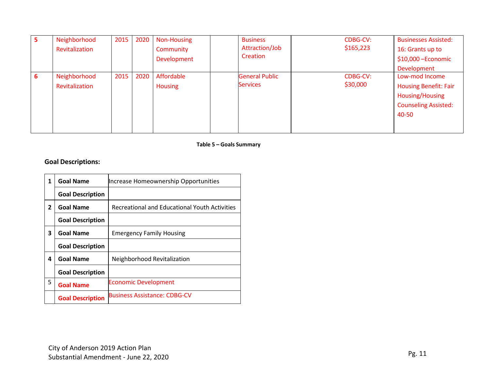| 5 | Neighborhood   | 2015 | 2020 | Non-Housing    |                 | <b>Business</b>       | CDBG-CV:  | <b>Businesses Assisted:</b>  |
|---|----------------|------|------|----------------|-----------------|-----------------------|-----------|------------------------------|
|   | Revitalization |      |      | Community      |                 | Attraction/Job        | \$165,223 | 16: Grants up to             |
|   |                |      |      | Development    |                 | Creation              |           | $$10,000$ -Economic          |
|   |                |      |      |                |                 |                       |           | Development                  |
| 6 | Neighborhood   | 2015 | 2020 | Affordable     |                 | <b>General Public</b> | CDBG-CV:  | Low-mod Income               |
|   | Revitalization |      |      | <b>Housing</b> | <b>Services</b> |                       | \$30,000  | <b>Housing Benefit: Fair</b> |
|   |                |      |      |                |                 |                       |           | <b>Housing/Housing</b>       |
|   |                |      |      |                |                 |                       |           | <b>Counseling Assisted:</b>  |
|   |                |      |      |                |                 |                       |           | 40-50                        |
|   |                |      |      |                |                 |                       |           |                              |
|   |                |      |      |                |                 |                       |           |                              |

#### **Table 5 – Goals Summary**

# **Goal Descriptions:**

| 1              | <b>Goal Name</b>        | Increase Homeownership Opportunities          |
|----------------|-------------------------|-----------------------------------------------|
|                | <b>Goal Description</b> |                                               |
| $\overline{2}$ | <b>Goal Name</b>        | Recreational and Educational Youth Activities |
|                | <b>Goal Description</b> |                                               |
| 3              | <b>Goal Name</b>        | <b>Emergency Family Housing</b>               |
|                | <b>Goal Description</b> |                                               |
| 4              | <b>Goal Name</b>        | Neighborhood Revitalization                   |
|                | <b>Goal Description</b> |                                               |
| 5              | <b>Goal Name</b>        | <b>Economic Development</b>                   |
|                | <b>Goal Description</b> | <b>Business Assistance: CDBG-CV</b>           |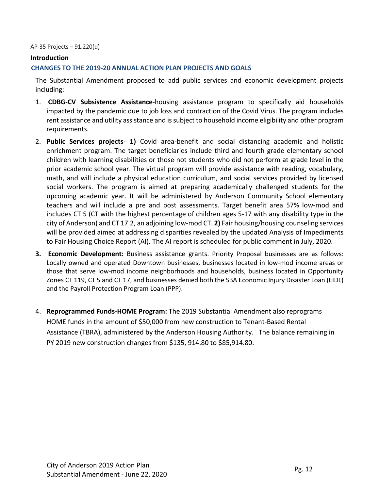#### AP-35 Projects – 91.220(d)

#### **Introduction**

#### **CHANGES TO THE 2019-20 ANNUAL ACTION PLAN PROJECTS AND GOALS**

The Substantial Amendment proposed to add public services and economic development projects including:

- 1. **CDBG-CV Subsistence Assistance**-housing assistance program to specifically aid households impacted by the pandemic due to job loss and contraction of the Covid Virus. The program includes rent assistance and utility assistance and is subject to household income eligibility and other program requirements.
- 2. **Public Services projects 1)** Covid area-benefit and social distancing academic and holistic enrichment program. The target beneficiaries include third and fourth grade elementary school children with learning disabilities or those not students who did not perform at grade level in the prior academic school year. The virtual program will provide assistance with reading, vocabulary, math, and will include a physical education curriculum, and social services provided by licensed social workers. The program is aimed at preparing academically challenged students for the upcoming academic year. It will be administered by Anderson Community School elementary teachers and will include a pre and post assessments. Target benefit area 57% low-mod and includes CT 5 (CT with the highest percentage of children ages 5-17 with any disability type in the city of Anderson) and CT 17.2, an adjoining low-mod CT. **2)** Fair housing/housing counseling services will be provided aimed at addressing disparities revealed by the updated Analysis of Impediments to Fair Housing Choice Report (AI). The AI report is scheduled for public comment in July, 2020.
- **3. Economic Development:** Business assistance grants. Priority Proposal businesses are as follows: Locally owned and operated Downtown businesses, businesses located in low-mod income areas or those that serve low-mod income neighborhoods and households, business located in Opportunity Zones CT 119, CT 5 and CT 17, and businesses denied both the SBA Economic Injury Disaster Loan (EIDL) and the Payroll Protection Program Loan (PPP).
- 4. **Reprogrammed Funds-HOME Program:** The 2019 Substantial Amendment also reprograms HOME funds in the amount of \$50,000 from new construction to Tenant-Based Rental Assistance (TBRA), administered by the Anderson Housing Authority. The balance remaining in PY 2019 new construction changes from \$135, 914.80 to \$85,914.80.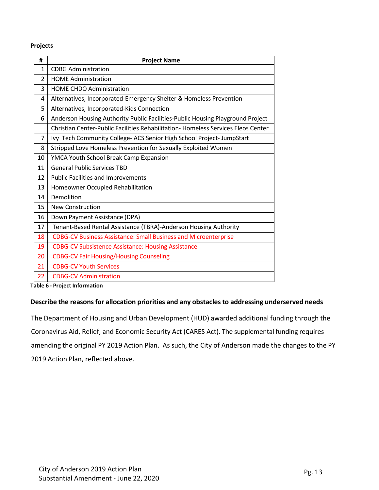#### **Projects**

| #              | <b>Project Name</b>                                                              |
|----------------|----------------------------------------------------------------------------------|
| $\mathbf{1}$   | <b>CDBG Administration</b>                                                       |
| $\mathcal{P}$  | <b>HOME Administration</b>                                                       |
| 3              | HOME CHDO Administration                                                         |
| 4              | Alternatives, Incorporated-Emergency Shelter & Homeless Prevention               |
| 5              | Alternatives, Incorporated-Kids Connection                                       |
| 6              | Anderson Housing Authority Public Facilities-Public Housing Playground Project   |
|                | Christian Center-Public Facilities Rehabilitation-Homeless Services Eleos Center |
| $\overline{7}$ | Ivy Tech Community College- ACS Senior High School Project- JumpStart            |
| 8              | Stripped Love Homeless Prevention for Sexually Exploited Women                   |
| 10             | YMCA Youth School Break Camp Expansion                                           |
| 11             | <b>General Public Services TBD</b>                                               |
| 12             | <b>Public Facilities and Improvements</b>                                        |
| 13             | Homeowner Occupied Rehabilitation                                                |
| 14             | Demolition                                                                       |
| 15             | <b>New Construction</b>                                                          |
| 16             | Down Payment Assistance (DPA)                                                    |
| 17             | Tenant-Based Rental Assistance (TBRA)-Anderson Housing Authority                 |
| 18             | <b>CDBG-CV Business Assistance: Small Business and Microenterprise</b>           |
| 19             | <b>CDBG-CV Subsistence Assistance: Housing Assistance</b>                        |
| 20             | <b>CDBG-CV Fair Housing/Housing Counseling</b>                                   |
| 21             | <b>CDBG-CV Youth Services</b>                                                    |
| 22             | <b>CDBG-CV Administration</b>                                                    |

**Table 6 - Project Information**

#### **Describe the reasonsfor allocation priorities and any obstacles to addressing underserved needs**

The Department of Housing and Urban Development (HUD) awarded additional funding through the Coronavirus Aid, Relief, and Economic Security Act (CARES Act). The supplemental funding requires amending the original PY 2019 Action Plan. As such, the City of Anderson made the changes to the PY Action Plan, reflected above.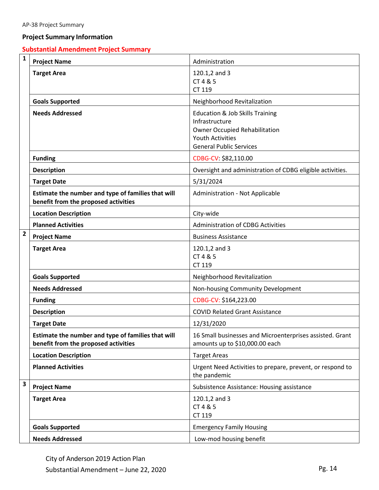#### **Project Summary Information**

# **Substantial Amendment Project Summary**

| $\mathbf{1}$            | <b>Project Name</b>                                                                        | Administration                                                                                                                                                    |  |  |  |
|-------------------------|--------------------------------------------------------------------------------------------|-------------------------------------------------------------------------------------------------------------------------------------------------------------------|--|--|--|
|                         | <b>Target Area</b>                                                                         | 120.1,2 and 3<br>CT 4 & 5<br>CT 119                                                                                                                               |  |  |  |
|                         | <b>Goals Supported</b>                                                                     | Neighborhood Revitalization                                                                                                                                       |  |  |  |
|                         | <b>Needs Addressed</b>                                                                     | <b>Education &amp; Job Skills Training</b><br>Infrastructure<br><b>Owner Occupied Rehabilitation</b><br><b>Youth Activities</b><br><b>General Public Services</b> |  |  |  |
|                         | <b>Funding</b>                                                                             | CDBG-CV: \$82,110.00                                                                                                                                              |  |  |  |
|                         | <b>Description</b>                                                                         | Oversight and administration of CDBG eligible activities.                                                                                                         |  |  |  |
|                         | <b>Target Date</b>                                                                         | 5/31/2024                                                                                                                                                         |  |  |  |
|                         | Estimate the number and type of families that will<br>benefit from the proposed activities | Administration - Not Applicable                                                                                                                                   |  |  |  |
|                         | <b>Location Description</b>                                                                | City-wide                                                                                                                                                         |  |  |  |
|                         | <b>Planned Activities</b>                                                                  | <b>Administration of CDBG Activities</b>                                                                                                                          |  |  |  |
| $\overline{2}$          | <b>Project Name</b>                                                                        | <b>Business Assistance</b>                                                                                                                                        |  |  |  |
|                         | <b>Target Area</b>                                                                         | 120.1,2 and 3<br>CT 4 & 5<br>CT 119                                                                                                                               |  |  |  |
|                         | <b>Goals Supported</b>                                                                     | Neighborhood Revitalization                                                                                                                                       |  |  |  |
|                         | <b>Needs Addressed</b>                                                                     | Non-housing Community Development                                                                                                                                 |  |  |  |
|                         | <b>Funding</b>                                                                             | CDBG-CV: \$164,223.00                                                                                                                                             |  |  |  |
|                         | <b>Description</b>                                                                         | <b>COVID Related Grant Assistance</b>                                                                                                                             |  |  |  |
|                         | <b>Target Date</b>                                                                         | 12/31/2020                                                                                                                                                        |  |  |  |
|                         | Estimate the number and type of families that will<br>benefit from the proposed activities | 16 Small businesses and Microenterprises assisted. Grant<br>amounts up to \$10,000.00 each                                                                        |  |  |  |
|                         | <b>Location Description</b>                                                                | <b>Target Areas</b>                                                                                                                                               |  |  |  |
|                         | <b>Planned Activities</b>                                                                  | Urgent Need Activities to prepare, prevent, or respond to<br>the pandemic                                                                                         |  |  |  |
| $\overline{\mathbf{3}}$ | <b>Project Name</b>                                                                        | Subsistence Assistance: Housing assistance                                                                                                                        |  |  |  |
|                         | <b>Target Area</b>                                                                         | 120.1,2 and 3<br>CT 4 & 5<br>CT 119                                                                                                                               |  |  |  |
|                         | <b>Goals Supported</b>                                                                     | <b>Emergency Family Housing</b>                                                                                                                                   |  |  |  |
|                         | <b>Needs Addressed</b>                                                                     | Low-mod housing benefit                                                                                                                                           |  |  |  |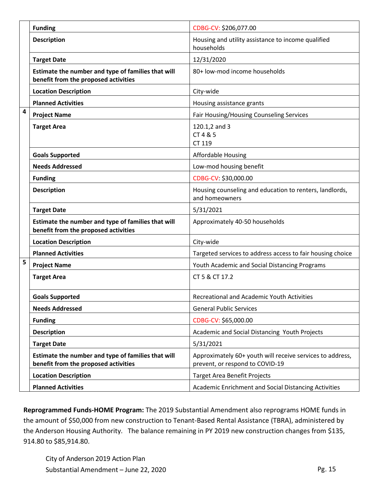|   | <b>Funding</b>                                                                             | CDBG-CV: \$206,077.00                                                                        |
|---|--------------------------------------------------------------------------------------------|----------------------------------------------------------------------------------------------|
|   | <b>Description</b>                                                                         | Housing and utility assistance to income qualified<br>households                             |
|   | <b>Target Date</b>                                                                         | 12/31/2020                                                                                   |
|   | Estimate the number and type of families that will<br>benefit from the proposed activities | 80+ low-mod income households                                                                |
|   | <b>Location Description</b>                                                                | City-wide                                                                                    |
|   | <b>Planned Activities</b>                                                                  | Housing assistance grants                                                                    |
| 4 | <b>Project Name</b>                                                                        | Fair Housing/Housing Counseling Services                                                     |
|   | <b>Target Area</b>                                                                         | 120.1,2 and 3<br>CT 4 & 5<br>CT 119                                                          |
|   | <b>Goals Supported</b>                                                                     | <b>Affordable Housing</b>                                                                    |
|   | <b>Needs Addressed</b>                                                                     | Low-mod housing benefit                                                                      |
|   | <b>Funding</b>                                                                             | CDBG-CV: \$30,000.00                                                                         |
|   | <b>Description</b>                                                                         | Housing counseling and education to renters, landlords,<br>and homeowners                    |
|   | <b>Target Date</b>                                                                         | 5/31/2021                                                                                    |
|   | Estimate the number and type of families that will<br>benefit from the proposed activities | Approximately 40-50 households                                                               |
|   | <b>Location Description</b>                                                                | City-wide                                                                                    |
|   | <b>Planned Activities</b>                                                                  | Targeted services to address access to fair housing choice                                   |
| 5 | <b>Project Name</b>                                                                        | Youth Academic and Social Distancing Programs                                                |
|   | <b>Target Area</b>                                                                         | CT 5 & CT 17.2                                                                               |
|   | <b>Goals Supported</b>                                                                     | Recreational and Academic Youth Activities                                                   |
|   | <b>Needs Addressed</b>                                                                     | <b>General Public Services</b>                                                               |
|   | <b>Funding</b>                                                                             | CDBG-CV: \$65,000.00                                                                         |
|   | <b>Description</b>                                                                         | Academic and Social Distancing Youth Projects                                                |
|   | <b>Target Date</b>                                                                         | 5/31/2021                                                                                    |
|   | Estimate the number and type of families that will<br>benefit from the proposed activities | Approximately 60+ youth will receive services to address,<br>prevent, or respond to COVID-19 |
|   | <b>Location Description</b>                                                                | <b>Target Area Benefit Projects</b>                                                          |
|   | <b>Planned Activities</b>                                                                  | Academic Enrichment and Social Distancing Activities                                         |

**Reprogrammed Funds-HOME Program:** The 2019 Substantial Amendment also reprograms HOME funds in the amount of \$50,000 from new construction to Tenant-Based Rental Assistance (TBRA), administered by the Anderson Housing Authority. The balance remaining in PY 2019 new construction changes from \$135, 914.80 to \$85,914.80.

City of Anderson 2019 Action Plan Substantial Amendment – June 22, 2020 Pg. 15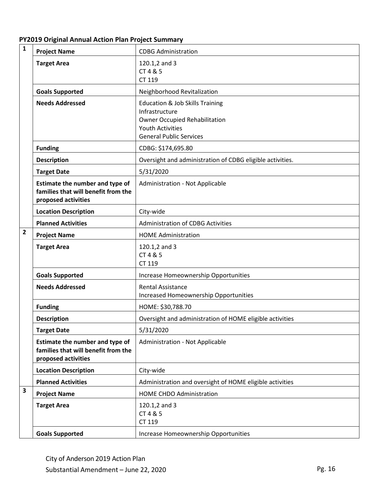| PY2019 Original Annual Action Plan Project Summary |  |  |
|----------------------------------------------------|--|--|
|----------------------------------------------------|--|--|

| $\mathbf{1}$            | <b>Project Name</b>                                                                           | <b>CDBG Administration</b>                                                                                                                                        |
|-------------------------|-----------------------------------------------------------------------------------------------|-------------------------------------------------------------------------------------------------------------------------------------------------------------------|
|                         | <b>Target Area</b>                                                                            | 120.1,2 and 3<br>CT 4 & 5<br>CT 119                                                                                                                               |
|                         | <b>Goals Supported</b>                                                                        | Neighborhood Revitalization                                                                                                                                       |
|                         | <b>Needs Addressed</b>                                                                        | <b>Education &amp; Job Skills Training</b><br>Infrastructure<br><b>Owner Occupied Rehabilitation</b><br><b>Youth Activities</b><br><b>General Public Services</b> |
|                         | <b>Funding</b>                                                                                | CDBG: \$174,695.80                                                                                                                                                |
|                         | <b>Description</b>                                                                            | Oversight and administration of CDBG eligible activities.                                                                                                         |
|                         | <b>Target Date</b>                                                                            | 5/31/2020                                                                                                                                                         |
|                         | Estimate the number and type of<br>families that will benefit from the<br>proposed activities | Administration - Not Applicable                                                                                                                                   |
|                         | <b>Location Description</b>                                                                   | City-wide                                                                                                                                                         |
|                         | <b>Planned Activities</b>                                                                     | <b>Administration of CDBG Activities</b>                                                                                                                          |
| $\overline{2}$          | <b>Project Name</b>                                                                           | <b>HOME Administration</b>                                                                                                                                        |
|                         | <b>Target Area</b>                                                                            | 120.1,2 and 3<br>CT 4 & 5<br>CT 119                                                                                                                               |
|                         | <b>Goals Supported</b>                                                                        | Increase Homeownership Opportunities                                                                                                                              |
|                         | <b>Needs Addressed</b>                                                                        | <b>Rental Assistance</b><br><b>Increased Homeownership Opportunities</b>                                                                                          |
|                         | <b>Funding</b>                                                                                | HOME: \$30,788.70                                                                                                                                                 |
|                         | <b>Description</b>                                                                            | Oversight and administration of HOME eligible activities                                                                                                          |
|                         | <b>Target Date</b>                                                                            | 5/31/2020                                                                                                                                                         |
|                         | Estimate the number and type of<br>families that will benefit from the<br>proposed activities | Administration - Not Applicable                                                                                                                                   |
|                         | <b>Location Description</b>                                                                   | City-wide                                                                                                                                                         |
|                         | <b>Planned Activities</b>                                                                     | Administration and oversight of HOME eligible activities                                                                                                          |
|                         |                                                                                               | HOME CHDO Administration                                                                                                                                          |
| $\overline{\mathbf{3}}$ | <b>Project Name</b>                                                                           |                                                                                                                                                                   |
|                         | <b>Target Area</b>                                                                            | 120.1,2 and 3<br>CT 4 & 5<br>CT 119                                                                                                                               |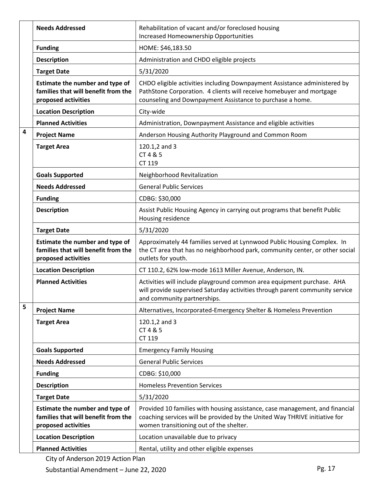|                         | <b>Needs Addressed</b>                                                                        | Rehabilitation of vacant and/or foreclosed housing<br><b>Increased Homeownership Opportunities</b>                                                                                                             |
|-------------------------|-----------------------------------------------------------------------------------------------|----------------------------------------------------------------------------------------------------------------------------------------------------------------------------------------------------------------|
|                         | <b>Funding</b>                                                                                | HOME: \$46,183.50                                                                                                                                                                                              |
|                         | <b>Description</b>                                                                            | Administration and CHDO eligible projects                                                                                                                                                                      |
|                         | <b>Target Date</b>                                                                            | 5/31/2020                                                                                                                                                                                                      |
|                         | Estimate the number and type of<br>families that will benefit from the<br>proposed activities | CHDO eligible activities including Downpayment Assistance administered by<br>PathStone Corporation. 4 clients will receive homebuyer and mortgage<br>counseling and Downpayment Assistance to purchase a home. |
|                         | <b>Location Description</b>                                                                   | City-wide                                                                                                                                                                                                      |
|                         | <b>Planned Activities</b>                                                                     | Administration, Downpayment Assistance and eligible activities                                                                                                                                                 |
| $\overline{\mathbf{4}}$ | <b>Project Name</b>                                                                           | Anderson Housing Authority Playground and Common Room                                                                                                                                                          |
|                         | <b>Target Area</b>                                                                            | 120.1,2 and 3<br>CT 4 & 5<br>CT 119                                                                                                                                                                            |
|                         | <b>Goals Supported</b>                                                                        | Neighborhood Revitalization                                                                                                                                                                                    |
|                         | <b>Needs Addressed</b>                                                                        | <b>General Public Services</b>                                                                                                                                                                                 |
|                         | <b>Funding</b>                                                                                | CDBG: \$30,000                                                                                                                                                                                                 |
|                         | <b>Description</b>                                                                            | Assist Public Housing Agency in carrying out programs that benefit Public<br>Housing residence                                                                                                                 |
|                         | <b>Target Date</b>                                                                            | 5/31/2020                                                                                                                                                                                                      |
|                         | Estimate the number and type of                                                               | Approximately 44 families served at Lynnwood Public Housing Complex. In                                                                                                                                        |
|                         | families that will benefit from the<br>proposed activities                                    | the CT area that has no neighborhood park, community center, or other social<br>outlets for youth.                                                                                                             |
|                         | <b>Location Description</b>                                                                   | CT 110.2, 62% low-mode 1613 Miller Avenue, Anderson, IN.                                                                                                                                                       |
|                         | <b>Planned Activities</b>                                                                     | Activities will include playground common area equipment purchase. AHA<br>will provide supervised Saturday activities through parent community service<br>and community partnerships.                          |
| 5                       | <b>Project Name</b>                                                                           | Alternatives, Incorporated-Emergency Shelter & Homeless Prevention                                                                                                                                             |
|                         | <b>Target Area</b>                                                                            | 120.1,2 and 3<br>CT 4 & 5<br>CT 119                                                                                                                                                                            |
|                         | <b>Goals Supported</b>                                                                        | <b>Emergency Family Housing</b>                                                                                                                                                                                |
|                         | <b>Needs Addressed</b>                                                                        | <b>General Public Services</b>                                                                                                                                                                                 |
|                         | <b>Funding</b>                                                                                | CDBG: \$10,000                                                                                                                                                                                                 |
|                         | <b>Description</b>                                                                            | <b>Homeless Prevention Services</b>                                                                                                                                                                            |
|                         | <b>Target Date</b>                                                                            | 5/31/2020                                                                                                                                                                                                      |
|                         | Estimate the number and type of<br>families that will benefit from the<br>proposed activities | Provided 10 families with housing assistance, case management, and financial<br>coaching services will be provided by the United Way THRIVE initiative for<br>women transitioning out of the shelter.          |
|                         | <b>Location Description</b>                                                                   | Location unavailable due to privacy                                                                                                                                                                            |

City of Anderson 2019 Action Plan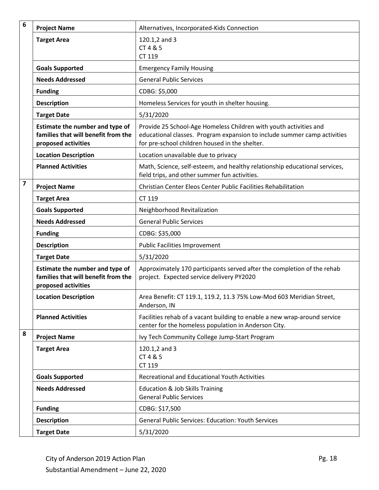| 6                       | <b>Project Name</b>                                                                           | Alternatives, Incorporated-Kids Connection                                                                                                                                                      |
|-------------------------|-----------------------------------------------------------------------------------------------|-------------------------------------------------------------------------------------------------------------------------------------------------------------------------------------------------|
|                         | <b>Target Area</b>                                                                            | 120.1,2 and 3                                                                                                                                                                                   |
|                         |                                                                                               | CT 4 & 5<br>CT 119                                                                                                                                                                              |
|                         | <b>Goals Supported</b>                                                                        | <b>Emergency Family Housing</b>                                                                                                                                                                 |
|                         | <b>Needs Addressed</b>                                                                        | <b>General Public Services</b>                                                                                                                                                                  |
|                         | <b>Funding</b>                                                                                | CDBG: \$5,000                                                                                                                                                                                   |
|                         | <b>Description</b>                                                                            | Homeless Services for youth in shelter housing.                                                                                                                                                 |
|                         | <b>Target Date</b>                                                                            | 5/31/2020                                                                                                                                                                                       |
|                         | Estimate the number and type of<br>families that will benefit from the<br>proposed activities | Provide 25 School-Age Homeless Children with youth activities and<br>educational classes. Program expansion to include summer camp activities<br>for pre-school children housed in the shelter. |
|                         | <b>Location Description</b>                                                                   | Location unavailable due to privacy                                                                                                                                                             |
|                         | <b>Planned Activities</b>                                                                     | Math, Science, self-esteem, and healthy relationship educational services,<br>field trips, and other summer fun activities.                                                                     |
| $\overline{\mathbf{z}}$ | <b>Project Name</b>                                                                           | Christian Center Eleos Center Public Facilities Rehabilitation                                                                                                                                  |
|                         | <b>Target Area</b>                                                                            | CT 119                                                                                                                                                                                          |
|                         | <b>Goals Supported</b>                                                                        | Neighborhood Revitalization                                                                                                                                                                     |
|                         | <b>Needs Addressed</b>                                                                        | <b>General Public Services</b>                                                                                                                                                                  |
|                         | <b>Funding</b>                                                                                | CDBG: \$35,000                                                                                                                                                                                  |
|                         | <b>Description</b>                                                                            | <b>Public Facilities Improvement</b>                                                                                                                                                            |
|                         | <b>Target Date</b>                                                                            | 5/31/2020                                                                                                                                                                                       |
|                         | Estimate the number and type of<br>families that will benefit from the<br>proposed activities | Approximately 170 participants served after the completion of the rehab<br>project. Expected service delivery PY2020                                                                            |
|                         | <b>Location Description</b>                                                                   | Area Benefit: CT 119.1, 119.2, 11.3 75% Low-Mod 603 Meridian Street,<br>Anderson, IN                                                                                                            |
|                         | <b>Planned Activities</b>                                                                     | Facilities rehab of a vacant building to enable a new wrap-around service<br>center for the homeless population in Anderson City.                                                               |
| 8                       | <b>Project Name</b>                                                                           | Ivy Tech Community College Jump-Start Program                                                                                                                                                   |
|                         | <b>Target Area</b>                                                                            | 120.1,2 and 3<br>CT 4 & 5<br>CT 119                                                                                                                                                             |
|                         | <b>Goals Supported</b>                                                                        | <b>Recreational and Educational Youth Activities</b>                                                                                                                                            |
|                         | <b>Needs Addressed</b>                                                                        | <b>Education &amp; Job Skills Training</b><br><b>General Public Services</b>                                                                                                                    |
|                         | <b>Funding</b>                                                                                | CDBG: \$17,500                                                                                                                                                                                  |
|                         | <b>Description</b>                                                                            | <b>General Public Services: Education: Youth Services</b>                                                                                                                                       |
|                         | <b>Target Date</b>                                                                            | 5/31/2020                                                                                                                                                                                       |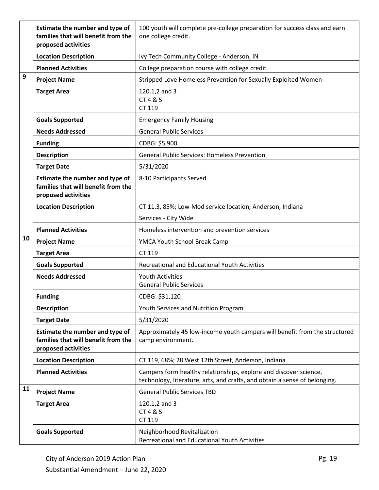|    | Estimate the number and type of<br>families that will benefit from the<br>proposed activities | 100 youth will complete pre-college preparation for success class and earn<br>one college credit.                                               |
|----|-----------------------------------------------------------------------------------------------|-------------------------------------------------------------------------------------------------------------------------------------------------|
|    | <b>Location Description</b>                                                                   | Ivy Tech Community College - Anderson, IN                                                                                                       |
|    | <b>Planned Activities</b>                                                                     | College preparation course with college credit.                                                                                                 |
| 9  | <b>Project Name</b>                                                                           | Stripped Love Homeless Prevention for Sexually Exploited Women                                                                                  |
|    | <b>Target Area</b>                                                                            | 120.1,2 and 3<br>CT 4 & 5<br>CT 119                                                                                                             |
|    | <b>Goals Supported</b>                                                                        | <b>Emergency Family Housing</b>                                                                                                                 |
|    | <b>Needs Addressed</b>                                                                        | <b>General Public Services</b>                                                                                                                  |
|    | <b>Funding</b>                                                                                | CDBG: \$5,900                                                                                                                                   |
|    | <b>Description</b>                                                                            | <b>General Public Services: Homeless Prevention</b>                                                                                             |
|    | <b>Target Date</b>                                                                            | 5/31/2020                                                                                                                                       |
|    | Estimate the number and type of<br>families that will benefit from the<br>proposed activities | 8-10 Participants Served                                                                                                                        |
|    | <b>Location Description</b>                                                                   | CT 11.3, 85%; Low-Mod service location; Anderson, Indiana                                                                                       |
|    |                                                                                               | Services - City Wide                                                                                                                            |
| 10 | <b>Planned Activities</b>                                                                     | Homeless intervention and prevention services                                                                                                   |
|    | <b>Project Name</b>                                                                           | YMCA Youth School Break Camp                                                                                                                    |
|    | <b>Target Area</b>                                                                            | CT 119                                                                                                                                          |
|    | <b>Goals Supported</b>                                                                        | Recreational and Educational Youth Activities                                                                                                   |
|    | <b>Needs Addressed</b>                                                                        | <b>Youth Activities</b><br><b>General Public Services</b>                                                                                       |
|    | <b>Funding</b>                                                                                | CDBG: \$31,120                                                                                                                                  |
|    | <b>Description</b>                                                                            | Youth Services and Nutrition Program                                                                                                            |
|    | <b>Target Date</b>                                                                            | 5/31/2020                                                                                                                                       |
|    | Estimate the number and type of<br>families that will benefit from the<br>proposed activities | Approximately 45 low-income youth campers will benefit from the structured<br>camp environment.                                                 |
|    | <b>Location Description</b>                                                                   | CT 119, 68%; 28 West 12th Street, Anderson, Indiana                                                                                             |
|    | <b>Planned Activities</b>                                                                     | Campers form healthy relationships, explore and discover science,<br>technology, literature, arts, and crafts, and obtain a sense of belonging. |
| 11 | <b>Project Name</b>                                                                           | <b>General Public Services TBD</b>                                                                                                              |
|    | <b>Target Area</b>                                                                            | 120.1,2 and 3<br>CT 4 & 5<br>CT 119                                                                                                             |
|    | <b>Goals Supported</b>                                                                        | Neighborhood Revitalization<br>Recreational and Educational Youth Activities                                                                    |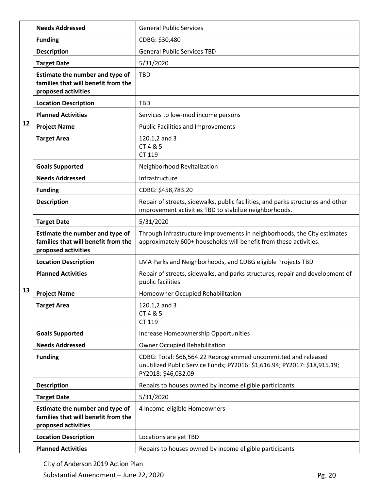|    | <b>Needs Addressed</b>                                                                        | <b>General Public Services</b>                                                                                                                                     |
|----|-----------------------------------------------------------------------------------------------|--------------------------------------------------------------------------------------------------------------------------------------------------------------------|
|    | <b>Funding</b>                                                                                | CDBG: \$30,480                                                                                                                                                     |
|    | <b>Description</b>                                                                            | <b>General Public Services TBD</b>                                                                                                                                 |
|    | <b>Target Date</b>                                                                            | 5/31/2020                                                                                                                                                          |
|    | Estimate the number and type of<br>families that will benefit from the<br>proposed activities | <b>TBD</b>                                                                                                                                                         |
|    | <b>Location Description</b>                                                                   | <b>TBD</b>                                                                                                                                                         |
|    | <b>Planned Activities</b>                                                                     | Services to low-mod income persons                                                                                                                                 |
| 12 | <b>Project Name</b>                                                                           | <b>Public Facilities and Improvements</b>                                                                                                                          |
|    | <b>Target Area</b>                                                                            | 120.1,2 and 3<br>CT 4 & 5<br>CT 119                                                                                                                                |
|    | <b>Goals Supported</b>                                                                        | Neighborhood Revitalization                                                                                                                                        |
|    | <b>Needs Addressed</b>                                                                        | Infrastructure                                                                                                                                                     |
|    | <b>Funding</b>                                                                                | CDBG: \$458,783.20                                                                                                                                                 |
|    | <b>Description</b>                                                                            | Repair of streets, sidewalks, public facilities, and parks structures and other<br>improvement activities TBD to stabilize neighborhoods.                          |
|    | <b>Target Date</b>                                                                            | 5/31/2020                                                                                                                                                          |
|    | Estimate the number and type of<br>families that will benefit from the<br>proposed activities | Through infrastructure improvements in neighborhoods, the City estimates<br>approximately 600+ households will benefit from these activities.                      |
|    | <b>Location Description</b>                                                                   | LMA Parks and Neighborhoods, and CDBG eligible Projects TBD                                                                                                        |
|    | <b>Planned Activities</b>                                                                     | Repair of streets, sidewalks, and parks structures, repair and development of<br>public facilities                                                                 |
| 13 | <b>Project Name</b>                                                                           | Homeowner Occupied Rehabilitation                                                                                                                                  |
|    | <b>Target Area</b>                                                                            | 120.1,2 and 3<br>CT 4 & 5<br>CT 119                                                                                                                                |
|    | <b>Goals Supported</b>                                                                        | Increase Homeownership Opportunities                                                                                                                               |
|    | <b>Needs Addressed</b>                                                                        | <b>Owner Occupied Rehabilitation</b>                                                                                                                               |
|    | <b>Funding</b>                                                                                | CDBG: Total: \$66,564.22 Reprogrammed uncommitted and released<br>unutilized Public Service Funds; PY2016: \$1,616.94; PY2017: \$18,915.19;<br>PY2018: \$46,032.09 |
|    | <b>Description</b>                                                                            | Repairs to houses owned by income eligible participants                                                                                                            |
|    | <b>Target Date</b>                                                                            | 5/31/2020                                                                                                                                                          |
|    | Estimate the number and type of<br>families that will benefit from the<br>proposed activities | 4 Income-eligible Homeowners                                                                                                                                       |
|    | <b>Location Description</b>                                                                   | Locations are yet TBD                                                                                                                                              |
|    | <b>Planned Activities</b>                                                                     | Repairs to houses owned by income eligible participants                                                                                                            |

City of Anderson 2019 Action Plan

Substantial Amendment – June 22, 2020 Pg. 20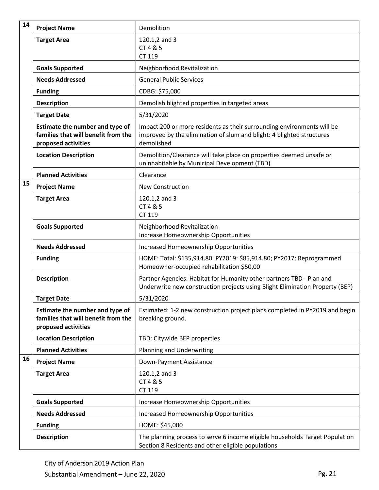| 14 | <b>Project Name</b>                                                                           | Demolition                                                                                                                                                    |
|----|-----------------------------------------------------------------------------------------------|---------------------------------------------------------------------------------------------------------------------------------------------------------------|
|    | <b>Target Area</b>                                                                            | 120.1,2 and 3<br>CT 4 & 5<br>CT 119                                                                                                                           |
|    | <b>Goals Supported</b>                                                                        | Neighborhood Revitalization                                                                                                                                   |
|    | <b>Needs Addressed</b>                                                                        | <b>General Public Services</b>                                                                                                                                |
|    | <b>Funding</b>                                                                                | CDBG: \$75,000                                                                                                                                                |
|    | <b>Description</b>                                                                            | Demolish blighted properties in targeted areas                                                                                                                |
|    | <b>Target Date</b>                                                                            | 5/31/2020                                                                                                                                                     |
|    | Estimate the number and type of<br>families that will benefit from the<br>proposed activities | Impact 200 or more residents as their surrounding environments will be<br>improved by the elimination of slum and blight: 4 blighted structures<br>demolished |
|    | <b>Location Description</b>                                                                   | Demolition/Clearance will take place on properties deemed unsafe or<br>uninhabitable by Municipal Development (TBD)                                           |
|    | <b>Planned Activities</b>                                                                     | Clearance                                                                                                                                                     |
| 15 | <b>Project Name</b>                                                                           | New Construction                                                                                                                                              |
|    | <b>Target Area</b>                                                                            | 120.1,2 and 3<br>CT 4 & 5<br>CT 119                                                                                                                           |
|    | <b>Goals Supported</b>                                                                        | Neighborhood Revitalization<br>Increase Homeownership Opportunities                                                                                           |
|    | <b>Needs Addressed</b>                                                                        | <b>Increased Homeownership Opportunities</b>                                                                                                                  |
|    | <b>Funding</b>                                                                                | HOME: Total: \$135,914.80. PY2019: \$85,914.80; PY2017: Reprogrammed<br>Homeowner-occupied rehabilitation \$50,00                                             |
|    | <b>Description</b>                                                                            | Partner Agencies: Habitat for Humanity other partners TBD - Plan and<br>Underwrite new construction projects using Blight Elimination Property (BEP)          |
|    | <b>Target Date</b>                                                                            | 5/31/2020                                                                                                                                                     |
|    | Estimate the number and type of<br>families that will benefit from the<br>proposed activities | Estimated: 1-2 new construction project plans completed in PY2019 and begin<br>breaking ground.                                                               |
|    | <b>Location Description</b>                                                                   | TBD: Citywide BEP properties                                                                                                                                  |
|    | <b>Planned Activities</b>                                                                     | Planning and Underwriting                                                                                                                                     |
| 16 | <b>Project Name</b>                                                                           | Down-Payment Assistance                                                                                                                                       |
|    | <b>Target Area</b>                                                                            | 120.1,2 and 3<br>CT 4 & 5<br>CT 119                                                                                                                           |
|    | <b>Goals Supported</b>                                                                        | Increase Homeownership Opportunities                                                                                                                          |
|    | <b>Needs Addressed</b>                                                                        | <b>Increased Homeownership Opportunities</b>                                                                                                                  |
|    | <b>Funding</b>                                                                                | HOME: \$45,000                                                                                                                                                |
|    | <b>Description</b>                                                                            | The planning process to serve 6 income eligible households Target Population<br>Section 8 Residents and other eligible populations                            |